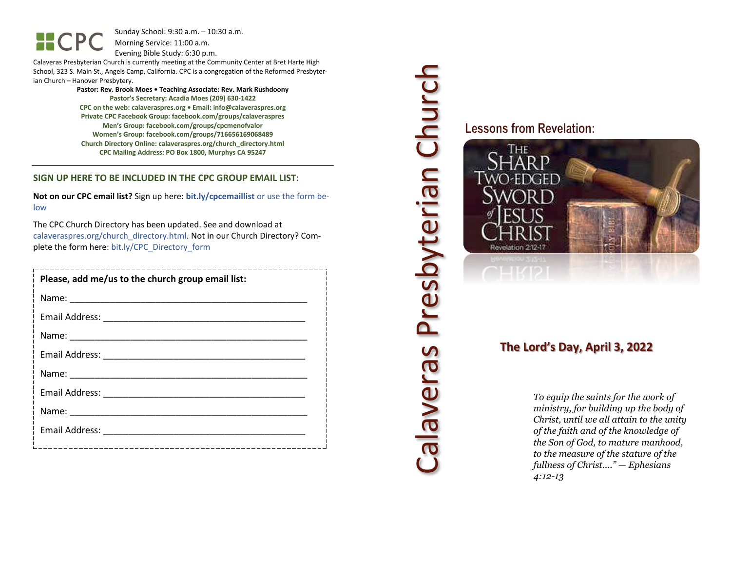**HCP** 

Sunday School: 9: 3 0 a.m. – 10:30 a.m. Morning Service: 1 1 :00 a.m.

Evening Bible Study: 6: 30 p.m.

Calaveras Presbyterian Church is currently meeting at the Community Center at Bret Harte High School, 323 S. Main St., Angels Camp, California . CPC is a congregation of the Reformed Presbyterian Church – Hanover Presbytery.

> **Pastor: Rev. Brook Moes • Teaching Associate: Rev. Mark Rushdoony Pastor's Secretary: Acadia Moes (209) 630 -1422 CPC on the web: calaveraspres.org • Email: [info@calaveraspres.org](mailto:info@calaveraspres.org) Private CPC Facebook Group: facebook.com/groups/calaveraspres Men's Group: facebook.com/groups/cpcmenofvalor Women's Group: facebook.com/groups/716656169068489 Church Directory Online: calaveraspres.org/church \_directory.html CPC Mailing Address: PO Box 1800, Murphys CA 95247**

#### **SIGN UP HERE TO BE INCLUDED IN THE CPC GROUP EMAIL LIST :**

**Not on our CPC email list?** Sign up here: **bit.ly/cpcemaillist** or use the form below

The CPC Church Directory has been updated. See and download at calaveraspres.org/church\_directory.html. Not in our Church Directory? Complete the form here: bit.ly/CPC\_Directory\_form

| Please, add me/us to the church group email list: |  |
|---------------------------------------------------|--|
|                                                   |  |
|                                                   |  |
|                                                   |  |
|                                                   |  |
|                                                   |  |
|                                                   |  |
|                                                   |  |
|                                                   |  |
|                                                   |  |

Calaveras Presbyterian Church Calaveras Presbyterian Church

**Lessons from Revelation:** 



## **The Lord's Day, April 3, 202 2**

*To equip the saints for the work of ministry, for building up the body of Christ, until we all attain to the unity of the faith and of the knowledge of the Son of God, to mature manhood, to the measure of the stature of the fullness of Christ…." — Ephesians 4:12 -13*